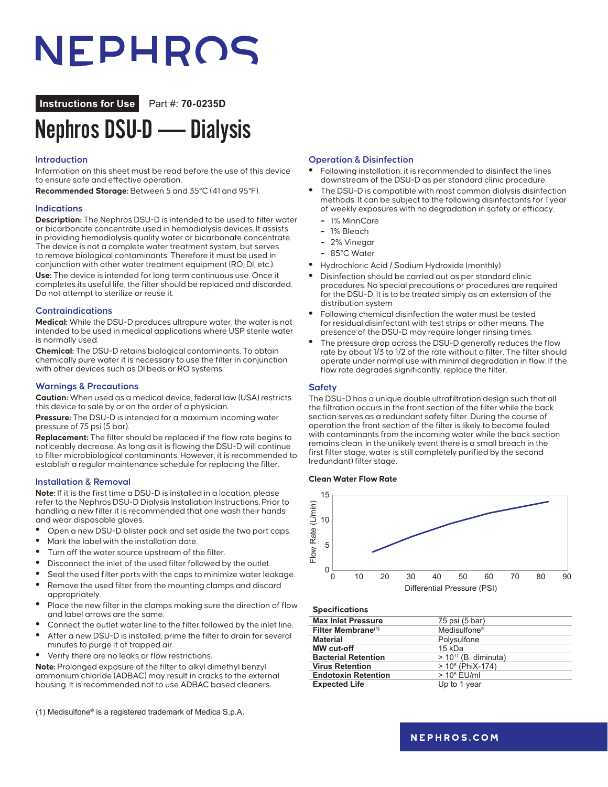# NEPHROS

**Instructions for Use** Part #: **70-0235D**

## Nephros DSU-D — Dialysis

#### **Introduction**

Information on this sheet must be read before the use of this device to ensure safe and effective operation.

**Recommended Storage:** Between 5 and 35°C (41 and 95°F).

#### **Indications**

**Description:** The Nephros DSU-D is intended to be used to filter water or bicarbonate concentrate used in hemodialysis devices. It assists in providing hemodialysis quality water or bicarbonate concentrate. The device is not a complete water treatment system, but serves to remove biological contaminants. Therefore it must be used in conjunction with other water treatment equipment (RO, DI, etc.). **Use:** The device is intended for long term continuous use. Once it completes its useful life, the filter should be replaced and discarded. Do not attempt to sterilize or reuse it.

#### **Contraindications**

**Medical:** While the DSU-D produces ultrapure water, the water is not intended to be used in medical applications where USP sterile water is normally used.

**Chemical:** The DSU-D retains biological contaminants. To obtain chemically pure water it is necessary to use the filter in conjunction with other devices such as DI beds or RO systems.

#### **Warnings & Precautions**

**Caution:** When used as a medical device, federal law (USA) restricts this device to sale by or on the order of a physician.

**Pressure:** The DSU-D is intended for a maximum incoming water pressure of 75 psi (5 bar).

**Replacement:** The filter should be replaced if the flow rate begins to noticeably decrease. As long as it is flowing the DSU-D will continue to filter microbiological contaminants. However, it is recommended to establish a regular maintenance schedule for replacing the filter.

#### **Installation & Removal**

**Note:** If it is the first time a DSU-D is installed in a location, please refer to the Nephros DSU-D Dialysis Installation Instructions. Prior to handling a new filter it is recommended that one wash their hands and wear disposable gloves.

- **•** Open a new DSU-D blister pack and set aside the two port caps.
- **•** Mark the label with the installation date.
- **•** Turn off the water source upstream of the filter.
- **•** Disconnect the inlet of the used filter followed by the outlet.
- **•** Seal the used filter ports with the caps to minimize water leakage.
- **•** Remove the used filter from the mounting clamps and discard appropriately.
- **•** Place the new filter in the clamps making sure the direction of flow and label arrows are the same.
- **•** Connect the outlet water line to the filter followed by the inlet line.
- **•** After a new DSU-D is installed, prime the filter to drain for several minutes to purge it of trapped air.
- **•** Verify there are no leaks or flow restrictions.

**Note:** Prolonged exposure of the filter to alkyl dimethyl benzyl ammonium chloride (ADBAC) may result in cracks to the external housing. It is recommended not to use ADBAC based cleaners.

(1) Medisulfone® is a registered trademark of Medica S.p.A.

#### **Operation & Disinfection**

- **•** Following installation, it is recommended to disinfect the lines downstream of the DSU-D as per standard clinic procedure.
- **•** The DSU-D is compatible with most common dialysis disinfection methods. It can be subject to the following disinfectants for 1 year of weekly exposures with no degradation in safety or efficacy.
	- **–** 1% MinnCare
	- **–** 1% Bleach
	- **–** 2% Vinegar
	- **–** 85°C Water
- **•** Hydrochloric Acid / Sodium Hydroxide (monthly)
- **•** Disinfection should be carried out as per standard clinic procedures. No special precautions or procedures are required for the DSU-D. It is to be treated simply as an extension of the distribution system
- **•** Following chemical disinfection the water must be tested for residual disinfectant with test strips or other means. The presence of the DSU-D may require longer rinsing times.
- **•** The pressure drop across the DSU-D generally reduces the flow rate by about 1/3 to 1/2 of the rate without a filter. The filter should operate under normal use with minimal degradation in flow. If the flow rate degrades significantly, replace the filter.

#### **Safety**

The DSU-D has a unique double ultrafiltration design such that all the filtration occurs in the front section of the filter while the back section serves as a redundant safety filter. During the course of operation the front section of the filter is likely to become fouled with contaminants from the incoming water while the back section remains clean. In the unlikely event there is a small breach in the first filter stage, water is still completely purified by the second (redundant) filter stage.

#### **Clean Water Flow Rate**



#### **Specifications**

| <b>Max Inlet Pressure</b>      | 75 psi (5 bar)            |
|--------------------------------|---------------------------|
| Filter Membrane <sup>(1)</sup> | Medisulfone <sup>®</sup>  |
| <b>Material</b>                | Polysulfone               |
| <b>MW</b> cut-off              | 15 kDa                    |
| <b>Bacterial Retention</b>     | $> 10^{11}$ (B. diminuta) |
| <b>Virus Retention</b>         | $> 108$ (PhiX-174)        |
| <b>Endotoxin Retention</b>     | $> 105$ EU/ml             |
| <b>Expected Life</b>           | Up to 1 year              |
|                                |                           |

### **[nephros.com](https://www.nephros.com/)**